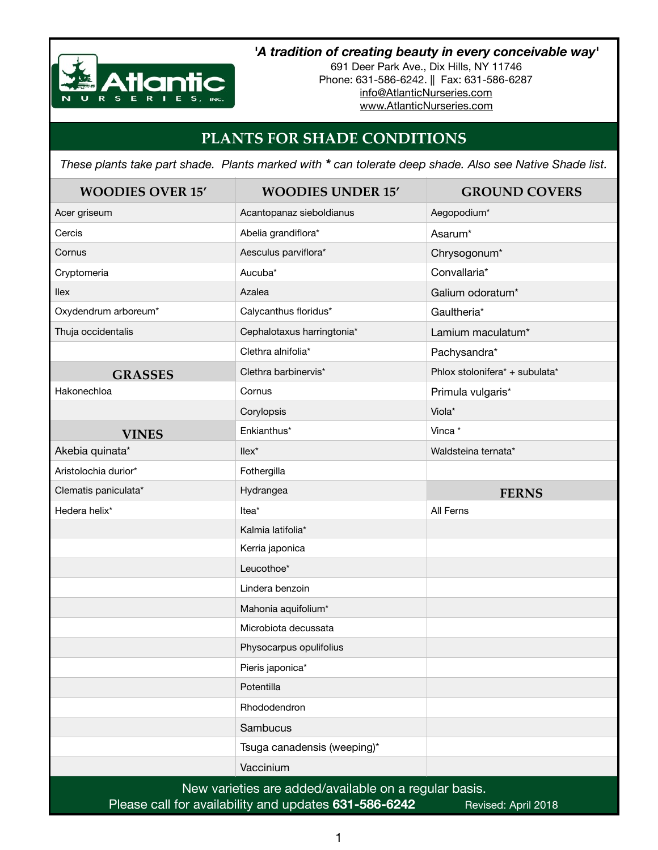

## *'A tradition of creating beauty in every conceivable way'*

691 Deer Park Ave., Dix Hills, NY 11746 Phone: 631-586-6242. || Fax: 631-586-6287 [info@AtlanticNurseries.com](mailto:info@AtlanticNurseries.com) [www.AtlanticNurseries.com](http://www.AtlanticNurseries.com)

## **PLANTS FOR SHADE CONDITIONS**

*These plants take part shade. Plants marked with \* can tolerate deep shade. Also see Native Shade list.*

| <b>WOODIES OVER 15'</b>                                                      | <b>WOODIES UNDER 15'</b>    | <b>GROUND COVERS</b>           |  |
|------------------------------------------------------------------------------|-----------------------------|--------------------------------|--|
| Acer griseum                                                                 | Acantopanaz sieboldianus    | Aegopodium*                    |  |
| Cercis                                                                       | Abelia grandiflora*         | Asarum <sup>*</sup>            |  |
| Cornus                                                                       | Aesculus parviflora*        | Chrysogonum*                   |  |
| Cryptomeria                                                                  | Aucuba <sup>*</sup>         | Convallaria*                   |  |
| <b>Ilex</b>                                                                  | Azalea                      | Galium odoratum*               |  |
| Oxydendrum arboreum*                                                         | Calycanthus floridus*       | Gaultheria*                    |  |
| Thuja occidentalis                                                           | Cephalotaxus harringtonia*  | Lamium maculatum*              |  |
|                                                                              | Clethra alnifolia*          | Pachysandra*                   |  |
| <b>GRASSES</b>                                                               | Clethra barbinervis*        | Phlox stolonifera* + subulata* |  |
| Hakonechloa                                                                  | Cornus                      | Primula vulgaris*              |  |
|                                                                              | Corylopsis                  | Viola*                         |  |
| <b>VINES</b>                                                                 | Enkianthus*                 | Vinca*                         |  |
| Akebia quinata*                                                              | $llex^*$                    | Waldsteina ternata*            |  |
| Aristolochia durior*                                                         | Fothergilla                 |                                |  |
| Clematis paniculata*                                                         | Hydrangea                   | <b>FERNS</b>                   |  |
| Hedera helix*                                                                | Itea <sup>*</sup>           | All Ferns                      |  |
|                                                                              | Kalmia latifolia*           |                                |  |
|                                                                              | Kerria japonica             |                                |  |
|                                                                              | Leucothoe*                  |                                |  |
|                                                                              | Lindera benzoin             |                                |  |
|                                                                              | Mahonia aquifolium*         |                                |  |
|                                                                              | Microbiota decussata        |                                |  |
|                                                                              | Physocarpus opulifolius     |                                |  |
|                                                                              | Pieris japonica*            |                                |  |
|                                                                              | Potentilla                  |                                |  |
|                                                                              | Rhododendron                |                                |  |
|                                                                              | Sambucus                    |                                |  |
|                                                                              | Tsuga canadensis (weeping)* |                                |  |
|                                                                              | Vaccinium                   |                                |  |
| New varieties are added/available on a regular basis.                        |                             |                                |  |
| Please call for availability and updates 631-586-6242<br>Revised: April 2018 |                             |                                |  |